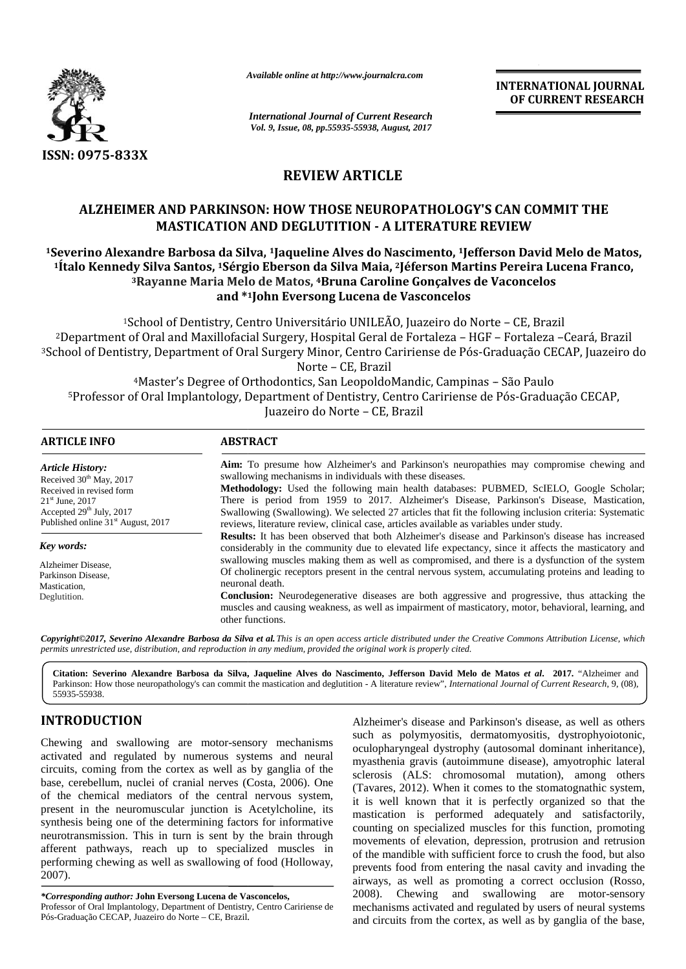

*Available online at http://www.journalcra.com*

**INTERNATIONAL JOURNAL OF CURRENT RESEARCH**

# **REVIEW ARTICLE**

# **ALZHEIMER AND PARKINSON: HOW THOSE NEUROPATHOLOGY'S CAN COMMIT THE MASTICATION AND DEGLUTITION - A LITERATURE REVIEW LITERATURE REVIEW**

## **<sup>1</sup>Severino Alexandre Barbosa da Silva, <sup>1</sup>Jaqueline Alves do Nascimento, <sup>1</sup>Jefferson David Melo de Matos, <sup>1</sup>Ítalo Kennedy Silva Santos, <sup>1</sup>Sérgio Eberson da Silva Maia, <sup>2</sup>Jéferson Martins Pereira Lucena Franco, Nascimento,Silva Pereira Lucena <sup>3</sup>Rayanne Maria Melo de Matos, <sup>4</sup>Bruna Caroline Gonçalves de Vaconcelos 4and \*1John Eversong Lucena de Vasconcelos**

|                                                                                                                                                                                                                                                                                                                                                                                                                                                                                                                                                                                                                                                                                                                                                                                                                                                        |                                                                                                                                                                                                                                                                                                                                                                                                                                                                                                                                                                                                                                                                                                                                                                                                                                                                                                                                                                                                                                                                                                                                                                                                                                 | <b>INTERNATIONAL JOURNAL</b><br>OF CURRENT RESEARCH                                                                                                                                                                                                                                                                                                                                                                                                                                                                                                                                                                                                                                                                                                                                                                                                                                                                                                                    |
|--------------------------------------------------------------------------------------------------------------------------------------------------------------------------------------------------------------------------------------------------------------------------------------------------------------------------------------------------------------------------------------------------------------------------------------------------------------------------------------------------------------------------------------------------------------------------------------------------------------------------------------------------------------------------------------------------------------------------------------------------------------------------------------------------------------------------------------------------------|---------------------------------------------------------------------------------------------------------------------------------------------------------------------------------------------------------------------------------------------------------------------------------------------------------------------------------------------------------------------------------------------------------------------------------------------------------------------------------------------------------------------------------------------------------------------------------------------------------------------------------------------------------------------------------------------------------------------------------------------------------------------------------------------------------------------------------------------------------------------------------------------------------------------------------------------------------------------------------------------------------------------------------------------------------------------------------------------------------------------------------------------------------------------------------------------------------------------------------|------------------------------------------------------------------------------------------------------------------------------------------------------------------------------------------------------------------------------------------------------------------------------------------------------------------------------------------------------------------------------------------------------------------------------------------------------------------------------------------------------------------------------------------------------------------------------------------------------------------------------------------------------------------------------------------------------------------------------------------------------------------------------------------------------------------------------------------------------------------------------------------------------------------------------------------------------------------------|
|                                                                                                                                                                                                                                                                                                                                                                                                                                                                                                                                                                                                                                                                                                                                                                                                                                                        | <b>International Journal of Current Research</b><br>Vol. 9, Issue, 08, pp.55935-55938, August, 2017                                                                                                                                                                                                                                                                                                                                                                                                                                                                                                                                                                                                                                                                                                                                                                                                                                                                                                                                                                                                                                                                                                                             |                                                                                                                                                                                                                                                                                                                                                                                                                                                                                                                                                                                                                                                                                                                                                                                                                                                                                                                                                                        |
| ISSN: 0975-833X                                                                                                                                                                                                                                                                                                                                                                                                                                                                                                                                                                                                                                                                                                                                                                                                                                        |                                                                                                                                                                                                                                                                                                                                                                                                                                                                                                                                                                                                                                                                                                                                                                                                                                                                                                                                                                                                                                                                                                                                                                                                                                 |                                                                                                                                                                                                                                                                                                                                                                                                                                                                                                                                                                                                                                                                                                                                                                                                                                                                                                                                                                        |
|                                                                                                                                                                                                                                                                                                                                                                                                                                                                                                                                                                                                                                                                                                                                                                                                                                                        |                                                                                                                                                                                                                                                                                                                                                                                                                                                                                                                                                                                                                                                                                                                                                                                                                                                                                                                                                                                                                                                                                                                                                                                                                                 | <b>REVIEW ARTICLE</b>                                                                                                                                                                                                                                                                                                                                                                                                                                                                                                                                                                                                                                                                                                                                                                                                                                                                                                                                                  |
|                                                                                                                                                                                                                                                                                                                                                                                                                                                                                                                                                                                                                                                                                                                                                                                                                                                        |                                                                                                                                                                                                                                                                                                                                                                                                                                                                                                                                                                                                                                                                                                                                                                                                                                                                                                                                                                                                                                                                                                                                                                                                                                 | ALZHEIMER AND PARKINSON: HOW THOSE NEUROPATHOLOGY'S CAN COMMIT THE<br><b>MASTICATION AND DEGLUTITION - A LITERATURE REVIEW</b>                                                                                                                                                                                                                                                                                                                                                                                                                                                                                                                                                                                                                                                                                                                                                                                                                                         |
|                                                                                                                                                                                                                                                                                                                                                                                                                                                                                                                                                                                                                                                                                                                                                                                                                                                        |                                                                                                                                                                                                                                                                                                                                                                                                                                                                                                                                                                                                                                                                                                                                                                                                                                                                                                                                                                                                                                                                                                                                                                                                                                 | 1 Severino Alexandre Barbosa da Silva, 1 Jaqueline Alves do Nascimento, 1 Jefferson David Melo de Matos,<br><sup>1</sup> Italo Kennedy Silva Santos, <sup>1</sup> Sérgio Eberson da Silva Maia, <sup>2</sup> Jéferson Martins Pereira Lucena Franco,<br><sup>3</sup> Rayanne Maria Melo de Matos, <sup>4</sup> Bruna Caroline Gonçalves de Vaconcelos<br>and *1John Eversong Lucena de Vasconcelos                                                                                                                                                                                                                                                                                                                                                                                                                                                                                                                                                                     |
|                                                                                                                                                                                                                                                                                                                                                                                                                                                                                                                                                                                                                                                                                                                                                                                                                                                        |                                                                                                                                                                                                                                                                                                                                                                                                                                                                                                                                                                                                                                                                                                                                                                                                                                                                                                                                                                                                                                                                                                                                                                                                                                 | <sup>1</sup> School of Dentistry, Centro Universitário UNILEÃO, Juazeiro do Norte - CE, Brazil<br><sup>2</sup> Department of Oral and Maxillofacial Surgery, Hospital Geral de Fortaleza - HGF - Fortaleza -Ceará, Brazil<br><sup>3</sup> School of Dentistry, Department of Oral Surgery Minor, Centro Caririense de Pós-Graduação CECAP, Juazeiro do<br>Norte - CE, Brazil                                                                                                                                                                                                                                                                                                                                                                                                                                                                                                                                                                                           |
|                                                                                                                                                                                                                                                                                                                                                                                                                                                                                                                                                                                                                                                                                                                                                                                                                                                        |                                                                                                                                                                                                                                                                                                                                                                                                                                                                                                                                                                                                                                                                                                                                                                                                                                                                                                                                                                                                                                                                                                                                                                                                                                 | <sup>4</sup> Master's Degree of Orthodontics, San LeopoldoMandic, Campinas - São Paulo<br>5Professor of Oral Implantology, Department of Dentistry, Centro Caririense de Pós-Graduação CECAP,<br>Juazeiro do Norte - CE, Brazil                                                                                                                                                                                                                                                                                                                                                                                                                                                                                                                                                                                                                                                                                                                                        |
| <b>ARTICLE INFO</b>                                                                                                                                                                                                                                                                                                                                                                                                                                                                                                                                                                                                                                                                                                                                                                                                                                    | <b>ABSTRACT</b>                                                                                                                                                                                                                                                                                                                                                                                                                                                                                                                                                                                                                                                                                                                                                                                                                                                                                                                                                                                                                                                                                                                                                                                                                 |                                                                                                                                                                                                                                                                                                                                                                                                                                                                                                                                                                                                                                                                                                                                                                                                                                                                                                                                                                        |
| <b>Article History:</b><br>Received 30 <sup>th</sup> May, 2017<br>Received in revised form<br>$21st$ June, 2017<br>Accepted 29th July, 2017<br>Published online 31 <sup>st</sup> August, 2017                                                                                                                                                                                                                                                                                                                                                                                                                                                                                                                                                                                                                                                          | Aim: To presume how Alzheimer's and Parkinson's neuropathies may compromise chewing and<br>swallowing mechanisms in individuals with these diseases.<br>Methodology: Used the following main health databases: PUBMED, ScIELO, Google Scholar;<br>There is period from 1959 to 2017. Alzheimer's Disease, Parkinson's Disease, Mastication,<br>Swallowing (Swallowing). We selected 27 articles that fit the following inclusion criteria: Systematic<br>reviews, literature review, clinical case, articles available as variables under study.<br><b>Results:</b> It has been observed that both Alzheimer's disease and Parkinson's disease has increased<br>considerably in the community due to elevated life expectancy, since it affects the masticatory and<br>swallowing muscles making them as well as compromised, and there is a dysfunction of the system<br>Of cholinergic receptors present in the central nervous system, accumulating proteins and leading to<br>neuronal death.<br>Conclusion: Neurodegenerative diseases are both aggressive and progressive, thus attacking the<br>muscles and causing weakness, as well as impairment of masticatory, motor, behavioral, learning, and<br>other functions. |                                                                                                                                                                                                                                                                                                                                                                                                                                                                                                                                                                                                                                                                                                                                                                                                                                                                                                                                                                        |
| Key words:<br>Alzheimer Disease,<br>Parkinson Disease,<br>Mastication,<br>Deglutition.                                                                                                                                                                                                                                                                                                                                                                                                                                                                                                                                                                                                                                                                                                                                                                 |                                                                                                                                                                                                                                                                                                                                                                                                                                                                                                                                                                                                                                                                                                                                                                                                                                                                                                                                                                                                                                                                                                                                                                                                                                 |                                                                                                                                                                                                                                                                                                                                                                                                                                                                                                                                                                                                                                                                                                                                                                                                                                                                                                                                                                        |
| permits unrestricted use, distribution, and reproduction in any medium, provided the original work is properly cited.                                                                                                                                                                                                                                                                                                                                                                                                                                                                                                                                                                                                                                                                                                                                  |                                                                                                                                                                                                                                                                                                                                                                                                                                                                                                                                                                                                                                                                                                                                                                                                                                                                                                                                                                                                                                                                                                                                                                                                                                 | Copyright©2017, Severino Alexandre Barbosa da Silva et al. This is an open access article distributed under the Creative Commons Attribution License, which                                                                                                                                                                                                                                                                                                                                                                                                                                                                                                                                                                                                                                                                                                                                                                                                            |
| 55935-55938.                                                                                                                                                                                                                                                                                                                                                                                                                                                                                                                                                                                                                                                                                                                                                                                                                                           |                                                                                                                                                                                                                                                                                                                                                                                                                                                                                                                                                                                                                                                                                                                                                                                                                                                                                                                                                                                                                                                                                                                                                                                                                                 | Citation: Severino Alexandre Barbosa da Silva, Jaqueline Alves do Nascimento, Jefferson David Melo de Matos et al. 2017. "Alzheimer and<br>Parkinson: How those neuropathology's can commit the mastication and deglutition - A literature review", International Journal of Current Research, 9, (08),                                                                                                                                                                                                                                                                                                                                                                                                                                                                                                                                                                                                                                                                |
| <b>INTRODUCTION</b>                                                                                                                                                                                                                                                                                                                                                                                                                                                                                                                                                                                                                                                                                                                                                                                                                                    |                                                                                                                                                                                                                                                                                                                                                                                                                                                                                                                                                                                                                                                                                                                                                                                                                                                                                                                                                                                                                                                                                                                                                                                                                                 | Alzheimer's disease and Parkinson's disease, as well as others                                                                                                                                                                                                                                                                                                                                                                                                                                                                                                                                                                                                                                                                                                                                                                                                                                                                                                         |
| Chewing and swallowing are motor-sensory mechanisms<br>activated and regulated by numerous systems and neural<br>circuits, coming from the cortex as well as by ganglia of the<br>base, cerebellum, nuclei of cranial nerves (Costa, 2006). One<br>of the chemical mediators of the central nervous system,<br>present in the neuromuscular junction is Acetylcholine, its<br>synthesis being one of the determining factors for informative<br>neurotransmission. This in turn is sent by the brain through<br>afferent pathways, reach up to specialized muscles in<br>performing chewing as well as swallowing of food (Holloway,<br>2007).<br>*Corresponding author: John Eversong Lucena de Vasconcelos,<br>Professor of Oral Implantology, Department of Dentistry, Centro Caririense de<br>Pós-Graduação CECAP, Juazeiro do Norte - CE, Brazil. |                                                                                                                                                                                                                                                                                                                                                                                                                                                                                                                                                                                                                                                                                                                                                                                                                                                                                                                                                                                                                                                                                                                                                                                                                                 | such as polymyositis, dermatomyositis, dystrophyoiotonic,<br>oculopharyngeal dystrophy (autosomal dominant inheritance),<br>myasthenia gravis (autoimmune disease), amyotrophic lateral<br>sclerosis (ALS: chromosomal mutation), among others<br>(Tavares, 2012). When it comes to the stomatognathic system,<br>it is well known that it is perfectly organized so that the<br>mastication is performed adequately and satisfactorily,<br>counting on specialized muscles for this function, promoting<br>movements of elevation, depression, protrusion and retrusion<br>of the mandible with sufficient force to crush the food, but also<br>prevents food from entering the nasal cavity and invading the<br>airways, as well as promoting a correct occlusion (Rosso,<br>and swallowing are motor-sensory<br>2008). Chewing<br>mechanisms activated and regulated by users of neural systems<br>and circuits from the cortex, as well as by ganglia of the base, |

# **INTRODUCTION INTRODUCTION**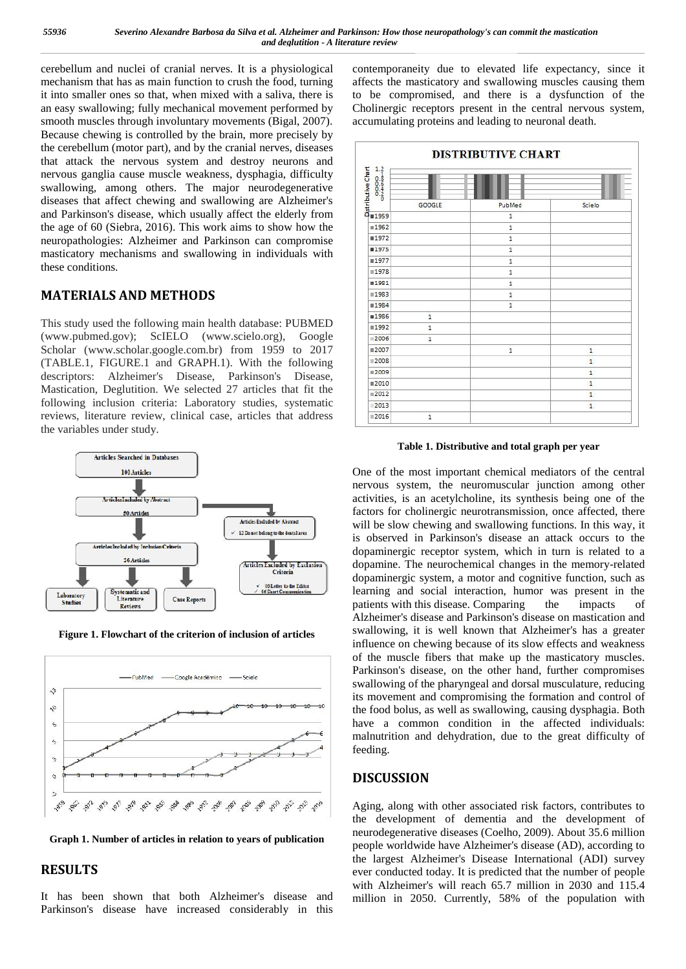cerebellum and nuclei of cranial nerves. It is a physiological mechanism that has as main function to crush the food, turning it into smaller ones so that, when mixed with a saliva, there is an easy swallowing; fully mechanical movement performed by smooth muscles through involuntary movements (Bigal, 2007). Because chewing is controlled by the brain, more precisely by the cerebellum (motor part), and by the cranial nerves, diseases that attack the nervous system and destroy neurons and<br>nervous ganglia cause muscle weakness, dysphagia, difficulty<br>swallowing, among others. The major neurodegenerative<br>diseases that affect chewing and swallowing are Alz nervous ganglia cause muscle weakness, dysphagia, difficulty<br>swallowing, among others. The major neurodegenerative<br>diseases that effect ebourne and supllausing are Alzheimer's swallowing, among others. The major neurodegenerative diseases that affect chewing and swallowing are Alzheimer's and Parkinson's disease. which usually affect the elderly from  $\frac{2}{9}$ and Parkinson's disease, which usually affect the elderly from the age of 60 (Siebra, 2016). This work aims to show how the neuropathologies: Alzheimer and Parkinson can compromise masticatory mechanisms and swallowing in individuals with  $\frac{25}{100}$ these conditions.

## **MATERIALS AND METHODS**

This study used the following main health database: PUBMED (www.pubmed.gov); ScIELO (www.scielo.org), Google Scholar (www.scholar.google.com.br) from 1959 to 2017 (TABLE.1, FIGURE.1 and GRAPH.1). With the following  $\frac{2008}{2009}$ descriptors: Alzheimer's Disease, Parkinson's Disease, Mastication, Deglutition. We selected 27 articles that fit the following inclusion criteria: Laboratory studies, systematic reviews, literature review, clinical case, articles that address the variables under study.



**Figure 1. Flowchart of the criterion of inclusion of articles**



**Graph 1. Number of articles in relation to years of publication**

### **RESULTS**

It has been shown that both Alzheimer's disease and Parkinson's disease have increased considerably in this contemporaneity due to elevated life expectancy, since it affects the masticatory and swallowing muscles causing them to be compromised, and there is a dysfunction of the Cholinergic receptors present in the central nervous system, accumulating proteins and leading to neuronal death.



**Table 1. Distributive and total graph per year**

One of the most important chemical mediators of the central nervous system, the neuromuscular junction among other activities, is an acetylcholine, its synthesis being one of the factors for cholinergic neurotransmission, once affected, there will be slow chewing and swallowing functions. In this way, it is observed in Parkinson's disease an attack occurs to the dopaminergic receptor system, which in turn is related to a dopamine. The neurochemical changes in the memory-related dopaminergic system, a motor and cognitive function, such as learning and social interaction, humor was present in the patients with this disease. Comparing the impacts of Alzheimer's disease and Parkinson's disease on mastication and swallowing, it is well known that Alzheimer's has a greater influence on chewing because of its slow effects and weakness of the muscle fibers that make up the masticatory muscles. Parkinson's disease, on the other hand, further compromises swallowing of the pharyngeal and dorsal musculature, reducing its movement and compromising the formation and control of the food bolus, as well as swallowing, causing dysphagia. Both have a common condition in the affected individuals: malnutrition and dehydration, due to the great difficulty of feeding.

### **DISCUSSION**

Aging, along with other associated risk factors, contributes to the development of dementia and the development of neurodegenerative diseases (Coelho, 2009). About 35.6 million people worldwide have Alzheimer's disease (AD), according to the largest Alzheimer's Disease International (ADI) survey ever conducted today. It is predicted that the number of people with Alzheimer's will reach 65.7 million in 2030 and 115.4 million in 2050. Currently, 58% of the population with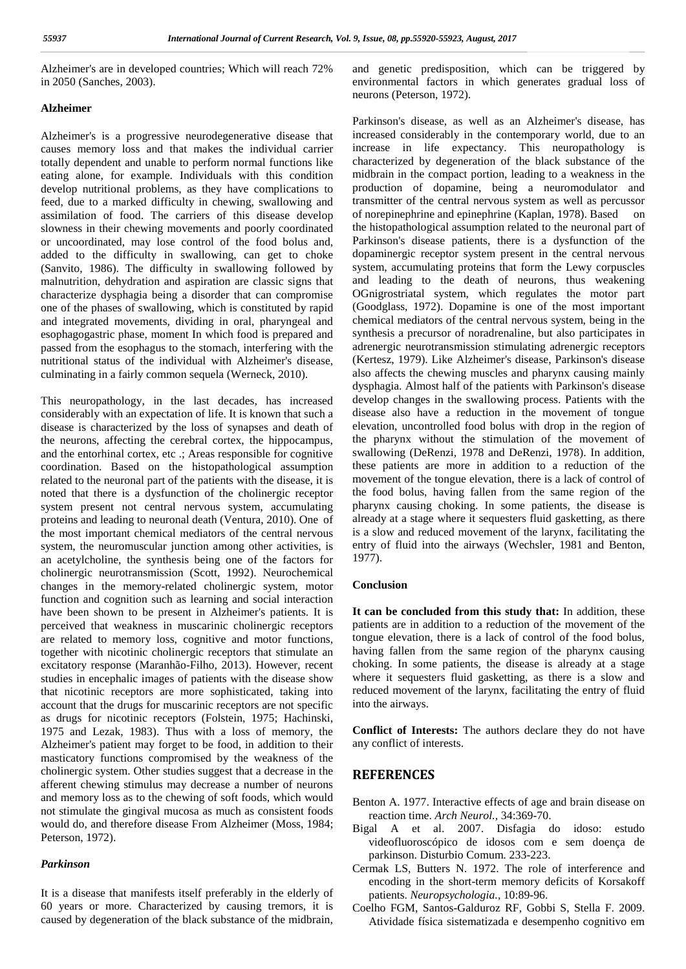Alzheimer's are in developed countries; Which will reach 72% in 2050 (Sanches, 2003).

#### **Alzheimer**

Alzheimer's is a progressive neurodegenerative disease that causes memory loss and that makes the individual carrier totally dependent and unable to perform normal functions like eating alone, for example. Individuals with this condition develop nutritional problems, as they have complications to feed, due to a marked difficulty in chewing, swallowing and assimilation of food. The carriers of this disease develop slowness in their chewing movements and poorly coordinated or uncoordinated, may lose control of the food bolus and, added to the difficulty in swallowing, can get to choke (Sanvito, 1986). The difficulty in swallowing followed by malnutrition, dehydration and aspiration are classic signs that characterize dysphagia being a disorder that can compromise one of the phases of swallowing, which is constituted by rapid and integrated movements, dividing in oral, pharyngeal and esophagogastric phase, moment In which food is prepared and passed from the esophagus to the stomach, interfering with the nutritional status of the individual with Alzheimer's disease, culminating in a fairly common sequela (Werneck, 2010).

This neuropathology, in the last decades, has increased considerably with an expectation of life. It is known that such a disease is characterized by the loss of synapses and death of the neurons, affecting the cerebral cortex, the hippocampus, and the entorhinal cortex, etc .; Areas responsible for cognitive coordination. Based on the histopathological assumption related to the neuronal part of the patients with the disease, it is noted that there is a dysfunction of the cholinergic receptor system present not central nervous system, accumulating proteins and leading to neuronal death (Ventura, 2010). One of the most important chemical mediators of the central nervous system, the neuromuscular junction among other activities, is an acetylcholine, the synthesis being one of the factors for cholinergic neurotransmission (Scott, 1992). Neurochemical changes in the memory-related cholinergic system, motor function and cognition such as learning and social interaction have been shown to be present in Alzheimer's patients. It is perceived that weakness in muscarinic cholinergic receptors are related to memory loss, cognitive and motor functions, together with nicotinic cholinergic receptors that stimulate an excitatory response (Maranhão-Filho, 2013). However, recent studies in encephalic images of patients with the disease show that nicotinic receptors are more sophisticated, taking into account that the drugs for muscarinic receptors are not specific as drugs for nicotinic receptors (Folstein, 1975; Hachinski, 1975 and Lezak, 1983). Thus with a loss of memory, the Alzheimer's patient may forget to be food, in addition to their masticatory functions compromised by the weakness of the cholinergic system. Other studies suggest that a decrease in the afferent chewing stimulus may decrease a number of neurons and memory loss as to the chewing of soft foods, which would not stimulate the gingival mucosa as much as consistent foods would do, and therefore disease From Alzheimer (Moss, 1984; Peterson, 1972).

#### *Parkinson*

It is a disease that manifests itself preferably in the elderly of 60 years or more. Characterized by causing tremors, it is caused by degeneration of the black substance of the midbrain,

and genetic predisposition, which can be triggered by environmental factors in which generates gradual loss of neurons (Peterson, 1972).

Parkinson's disease, as well as an Alzheimer's disease, has increased considerably in the contemporary world, due to an increase in life expectancy. This neuropathology is characterized by degeneration of the black substance of the midbrain in the compact portion, leading to a weakness in the production of dopamine, being a neuromodulator and transmitter of the central nervous system as well as percussor of norepinephrine and epinephrine (Kaplan, 1978). Based on the histopathological assumption related to the neuronal part of Parkinson's disease patients, there is a dysfunction of the dopaminergic receptor system present in the central nervous system, accumulating proteins that form the Lewy corpuscles and leading to the death of neurons, thus weakening OGnigrostriatal system, which regulates the motor part (Goodglass, 1972). Dopamine is one of the most important chemical mediators of the central nervous system, being in the synthesis a precursor of noradrenaline, but also participates in adrenergic neurotransmission stimulating adrenergic receptors (Kertesz, 1979). Like Alzheimer's disease, Parkinson's disease also affects the chewing muscles and pharynx causing mainly dysphagia. Almost half of the patients with Parkinson's disease develop changes in the swallowing process. Patients with the disease also have a reduction in the movement of tongue elevation, uncontrolled food bolus with drop in the region of the pharynx without the stimulation of the movement of swallowing (DeRenzi, 1978 and DeRenzi, 1978). In addition, these patients are more in addition to a reduction of the movement of the tongue elevation, there is a lack of control of the food bolus, having fallen from the same region of the pharynx causing choking. In some patients, the disease is already at a stage where it sequesters fluid gasketting, as there is a slow and reduced movement of the larynx, facilitating the entry of fluid into the airways (Wechsler, 1981 and Benton, 1977).

### **Conclusion**

**It can be concluded from this study that:** In addition, these patients are in addition to a reduction of the movement of the tongue elevation, there is a lack of control of the food bolus, having fallen from the same region of the pharynx causing choking. In some patients, the disease is already at a stage where it sequesters fluid gasketting, as there is a slow and reduced movement of the larynx, facilitating the entry of fluid into the airways.

**Conflict of Interests:** The authors declare they do not have any conflict of interests.

### **REFERENCES**

- Benton A. 1977. Interactive effects of age and brain disease on reaction time. *Arch Neurol.,* 34:369-70.
- Bigal A et al. 2007. Disfagia do idoso: estudo videofluoroscópico de idosos com e sem doença de parkinson. Disturbio Comum. 233-223.
- Cermak LS, Butters N. 1972. The role of interference and encoding in the short-term memory deficits of Korsakoff patients. *Neuropsychologia.,* 10:89-96.
- Coelho FGM, Santos-Galduroz RF, Gobbi S, Stella F. 2009. Atividade física sistematizada e desempenho cognitivo em